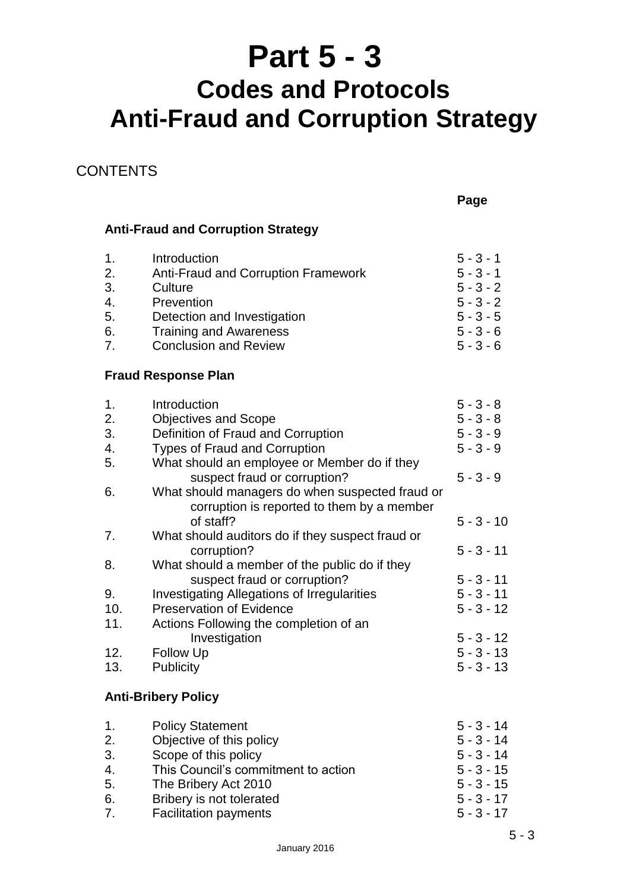# **Part 5 - 3**

# **Codes and Protocols Anti-Fraud and Corruption Strategy**

### **CONTENTS**

**Page**

#### **Anti-Fraud and Corruption Strategy**

| 1. | Introduction                               | $5 - 3 - 1$ |
|----|--------------------------------------------|-------------|
| 2. | <b>Anti-Fraud and Corruption Framework</b> | $5 - 3 - 1$ |
| 3. | Culture                                    | $5 - 3 - 2$ |
| 4. | Prevention                                 | $5 - 3 - 2$ |
| 5. | Detection and Investigation                | $5 - 3 - 5$ |
| 6. | <b>Training and Awareness</b>              | $5 - 3 - 6$ |
| 7. | <b>Conclusion and Review</b>               | $5 - 3 - 6$ |
|    |                                            |             |

#### **Fraud Response Plan**

| 1.  | Introduction                                       | $5 - 3 - 8$  |
|-----|----------------------------------------------------|--------------|
| 2.  | <b>Objectives and Scope</b>                        | $5 - 3 - 8$  |
| 3.  | Definition of Fraud and Corruption                 | $5 - 3 - 9$  |
| 4.  | <b>Types of Fraud and Corruption</b>               | $5 - 3 - 9$  |
| 5.  | What should an employee or Member do if they       |              |
|     | suspect fraud or corruption?                       | $5 - 3 - 9$  |
| 6.  | What should managers do when suspected fraud or    |              |
|     | corruption is reported to them by a member         |              |
|     | of staff?                                          | $5 - 3 - 10$ |
| 7.  | What should auditors do if they suspect fraud or   |              |
|     | corruption?                                        | $5 - 3 - 11$ |
| 8.  | What should a member of the public do if they      |              |
|     | suspect fraud or corruption?                       | $5 - 3 - 11$ |
| 9.  | <b>Investigating Allegations of Irregularities</b> | $5 - 3 - 11$ |
| 10. | <b>Preservation of Evidence</b>                    | $5 - 3 - 12$ |
| 11. | Actions Following the completion of an             |              |
|     | Investigation                                      | $5 - 3 - 12$ |
| 12. | <b>Follow Up</b>                                   | $5 - 3 - 13$ |
| 13. | <b>Publicity</b>                                   | $5 - 3 - 13$ |
|     |                                                    |              |

#### **Anti-Bribery Policy**

| $\mathbf{1}$ . | <b>Policy Statement</b>             | $5 - 3 - 14$ |
|----------------|-------------------------------------|--------------|
| 2.             | Objective of this policy            | $5 - 3 - 14$ |
| 3.             | Scope of this policy                | $5 - 3 - 14$ |
| 4.             | This Council's commitment to action | $5 - 3 - 15$ |
| 5.             | The Bribery Act 2010                | $5 - 3 - 15$ |
| 6.             | Bribery is not tolerated            | $5 - 3 - 17$ |
| 7.             | <b>Facilitation payments</b>        | $5 - 3 - 17$ |